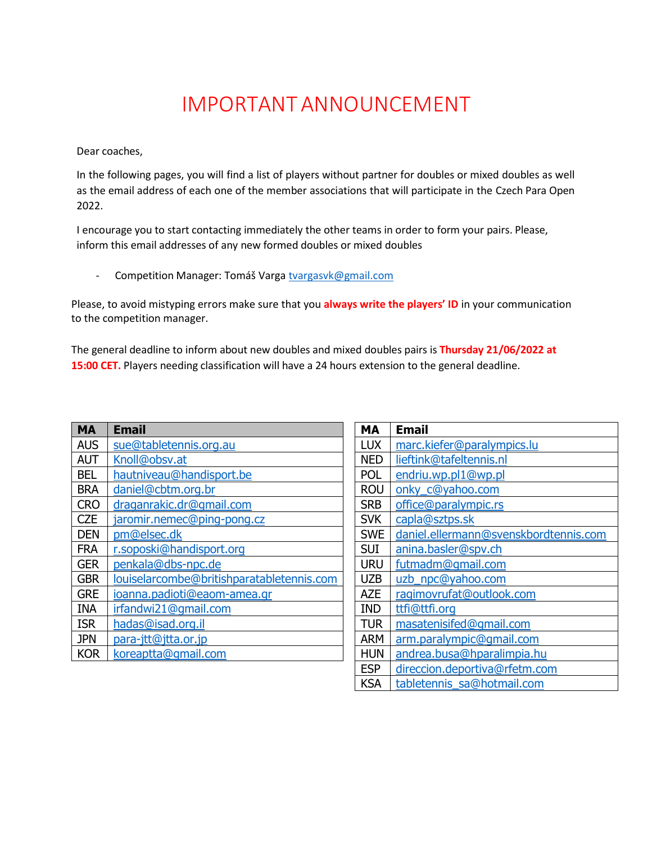## IMPORTANTANNOUNCEMENT

Dear coaches,

In the following pages, you will find a list of players without partner for doubles or mixed doubles as well as the email address of each one of the member associations that will participate in the Czech Para Open 2022.

I encourage you to start contacting immediately the other teams in order to form your pairs. Please, inform this email addresses of any new formed doubles or mixed doubles

- Competition Manager: Tomáš Varga [tvargasvk@gmail.com](mailto:tvargasvk@gmail.com)

Please, to avoid mistyping errors make sure that you **always write the players' ID** in your communication to the competition manager.

The general deadline to inform about new doubles and mixed doubles pairs is **Thursday 21/06/2022 at 15:00 CET.** Players needing classification will have a 24 hours extension to the general deadline.

| MА         | <b>Email</b>                              |
|------------|-------------------------------------------|
| <b>AUS</b> | sue@tabletennis.org.au                    |
| <b>AUT</b> | Knoll@obsv.at                             |
| BFI        | hautniveau@handisport.be                  |
| <b>BRA</b> | daniel@cbtm.org.br                        |
| <b>CRO</b> | draganrakic.dr@gmail.com                  |
| <b>CZE</b> | jaromir.nemec@ping-pong.cz                |
| DEN        | pm@elsec.dk                               |
| <b>FRA</b> | r.soposki@handisport.org                  |
| <b>GER</b> | penkala@dbs-npc.de                        |
| <b>GBR</b> | louiselarcombe@britishparatabletennis.com |
| <b>GRE</b> | ioanna.padioti@eaom-amea.gr               |
| <b>INA</b> | irfandwi21@gmail.com                      |
| <b>ISR</b> | hadas@isad.org.il                         |
| <b>JPN</b> | para-jtt@jtta.or.jp                       |
| <b>KOR</b> | koreaptta@gmail.com                       |

| MА         | Email                                 |
|------------|---------------------------------------|
| <b>LUX</b> | marc.kiefer@paralympics.lu            |
| NED        | lieftink@tafeltennis.nl               |
| <b>POL</b> | endriu.wp.pl1@wp.pl                   |
| <b>ROU</b> | onky_c@yahoo.com                      |
| <b>SRB</b> | office@paralympic.rs                  |
| <b>SVK</b> | capla@sztps.sk                        |
| <b>SWE</b> | daniel.ellermann@svenskbordtennis.com |
| SUI        | anina.basler@spv.ch                   |
| <b>URU</b> | futmadm@gmail.com                     |
| UZB        | uzb_npc@yahoo.com                     |
| AZE        | ragimovrufat@outlook.com              |
| <b>IND</b> | ttfi@ttfi.org                         |
| <b>TUR</b> | masatenisifed@gmail.com               |
| <b>ARM</b> | arm.paralympic@qmail.com              |
| <b>HUN</b> | andrea.busa@hparalimpia.hu            |
| <b>ESP</b> | direccion.deportiva@rfetm.com         |
| KSA        | tabletennis sa@hotmail.com            |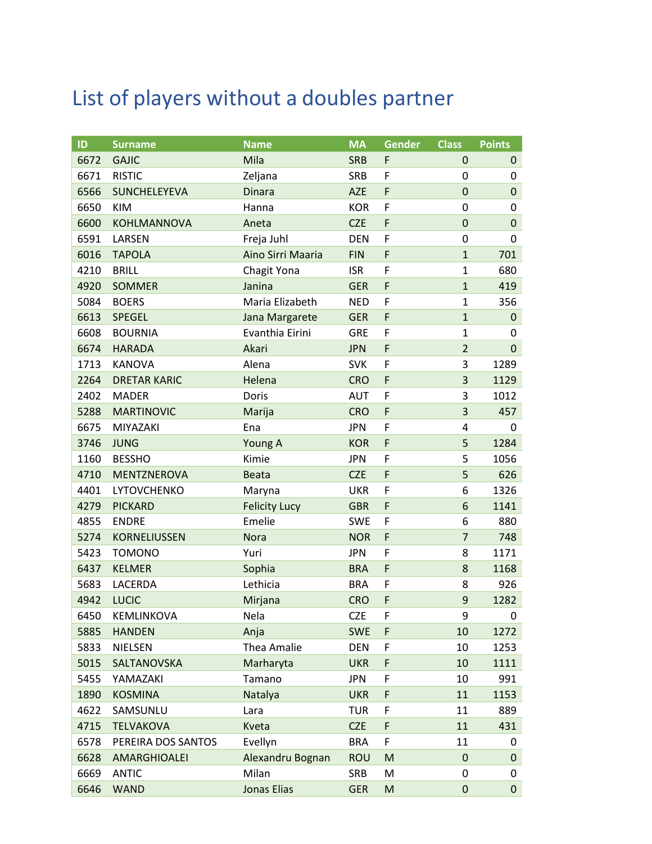## List of players without a doubles partner

| ID   | <b>Surname</b>      | <b>Name</b>          | <b>MA</b>  | <b>Gender</b> | <b>Class</b>   | <b>Points</b> |
|------|---------------------|----------------------|------------|---------------|----------------|---------------|
| 6672 | <b>GAJIC</b>        | Mila                 | <b>SRB</b> | F             | 0              | $\mathbf 0$   |
| 6671 | <b>RISTIC</b>       | Zeljana              | <b>SRB</b> | F             | 0              | 0             |
| 6566 | <b>SUNCHELEYEVA</b> | <b>Dinara</b>        | <b>AZE</b> | F             | $\mathbf 0$    | $\mathbf 0$   |
| 6650 | <b>KIM</b>          | Hanna                | <b>KOR</b> | F             | 0              | 0             |
| 6600 | KOHLMANNOVA         | Aneta                | <b>CZE</b> | F             | $\mathbf 0$    | $\mathbf 0$   |
| 6591 | LARSEN              | Freja Juhl           | <b>DEN</b> | F             | $\mathbf 0$    | 0             |
| 6016 | <b>TAPOLA</b>       | Aino Sirri Maaria    | <b>FIN</b> | F             | $\mathbf{1}$   | 701           |
| 4210 | <b>BRILL</b>        | Chagit Yona          | <b>ISR</b> | F             | $\mathbf{1}$   | 680           |
| 4920 | <b>SOMMER</b>       | Janina               | <b>GER</b> | F             | $\mathbf{1}$   | 419           |
| 5084 | <b>BOERS</b>        | Maria Elizabeth      | <b>NED</b> | F             | $\mathbf{1}$   | 356           |
| 6613 | SPEGEL              | Jana Margarete       | <b>GER</b> | F             | $\mathbf{1}$   | $\pmb{0}$     |
| 6608 | <b>BOURNIA</b>      | Evanthia Eirini      | <b>GRE</b> | F             | $\mathbf{1}$   | 0             |
| 6674 | <b>HARADA</b>       | Akari                | <b>JPN</b> | F             | $\overline{2}$ | $\mathbf 0$   |
| 1713 | <b>KANOVA</b>       | Alena                | <b>SVK</b> | F             | 3              | 1289          |
| 2264 | <b>DRETAR KARIC</b> | Helena               | <b>CRO</b> | F             | $\overline{3}$ | 1129          |
| 2402 | <b>MADER</b>        | Doris                | <b>AUT</b> | F             | 3              | 1012          |
| 5288 | <b>MARTINOVIC</b>   | Marija               | <b>CRO</b> | F             | 3              | 457           |
| 6675 | MIYAZAKI            | Ena                  | <b>JPN</b> | F             | 4              | 0             |
| 3746 | <b>JUNG</b>         | Young A              | <b>KOR</b> | F             | 5              | 1284          |
| 1160 | <b>BESSHO</b>       | Kimie                | <b>JPN</b> | F             | 5              | 1056          |
| 4710 | MENTZNEROVA         | <b>Beata</b>         | <b>CZE</b> | F             | 5              | 626           |
| 4401 | LYTOVCHENKO         | Maryna               | <b>UKR</b> | F             | 6              | 1326          |
| 4279 | <b>PICKARD</b>      | <b>Felicity Lucy</b> | <b>GBR</b> | F             | 6              | 1141          |
| 4855 | <b>ENDRE</b>        | Emelie               | <b>SWE</b> | F             | 6              | 880           |
| 5274 | KORNELIUSSEN        | <b>Nora</b>          | <b>NOR</b> | F             | $\overline{7}$ | 748           |
| 5423 | <b>TOMONO</b>       | Yuri                 | <b>JPN</b> | F             | 8              | 1171          |
| 6437 | <b>KELMER</b>       | Sophia               | <b>BRA</b> | F             | 8              | 1168          |
| 5683 | LACERDA             | Lethicia             | <b>BRA</b> | F             | 8              | 926           |
| 4942 | <b>LUCIC</b>        | Mirjana              | <b>CRO</b> | F             | 9              | 1282          |
| 6450 | KEMLINKOVA          | Nela                 | <b>CZE</b> | F             | 9              | 0             |
| 5885 | <b>HANDEN</b>       | Anja                 | <b>SWE</b> | F             | 10             | 1272          |
| 5833 | <b>NIELSEN</b>      | Thea Amalie          | DEN        | F             | 10             | 1253          |
| 5015 | SALTANOVSKA         | Marharyta            | <b>UKR</b> | F             | 10             | 1111          |
| 5455 | YAMAZAKI            | Tamano               | <b>JPN</b> | F             | 10             | 991           |
| 1890 | <b>KOSMINA</b>      | Natalya              | <b>UKR</b> | F             | 11             | 1153          |
| 4622 | SAMSUNLU            | Lara                 | TUR        | F             | 11             | 889           |
| 4715 | <b>TELVAKOVA</b>    | Kveta                | <b>CZE</b> | F             | 11             | 431           |
| 6578 | PEREIRA DOS SANTOS  | Evellyn              | <b>BRA</b> | F             | 11             | 0             |
| 6628 | AMARGHIOALEI        | Alexandru Bognan     | <b>ROU</b> | M             | 0              | 0             |
| 6669 | <b>ANTIC</b>        | Milan                | <b>SRB</b> | M             | 0              | 0             |
| 6646 | <b>WAND</b>         | <b>Jonas Elias</b>   | <b>GER</b> | M             | 0              | $\pmb{0}$     |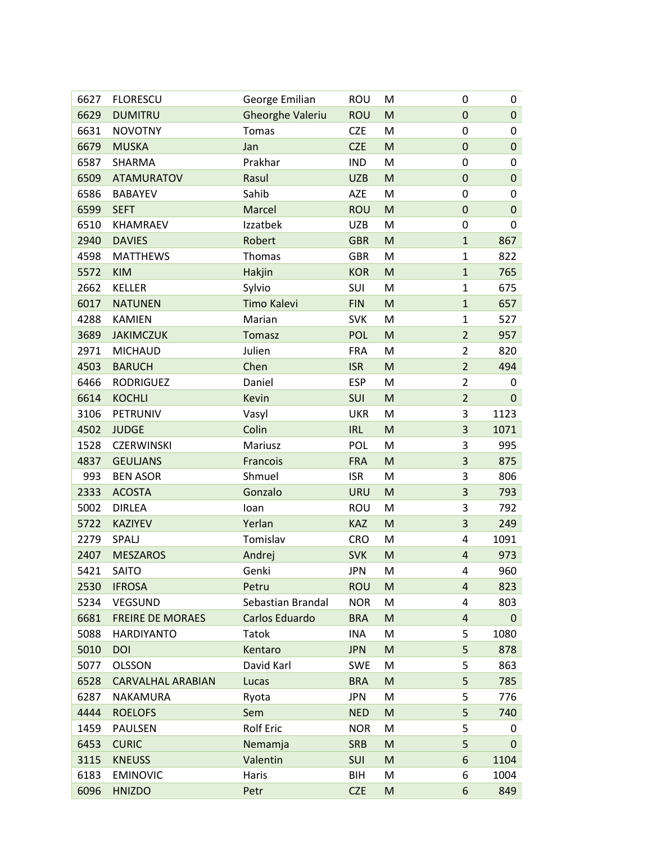| 6627 | <b>FLORESCU</b>          | George Emilian          | <b>ROU</b> | M                                                                                                          | 0                       | 0           |
|------|--------------------------|-------------------------|------------|------------------------------------------------------------------------------------------------------------|-------------------------|-------------|
| 6629 | <b>DUMITRU</b>           | <b>Gheorghe Valeriu</b> | <b>ROU</b> | M                                                                                                          | $\mathbf 0$             | $\pmb{0}$   |
| 6631 | <b>NOVOTNY</b>           | Tomas                   | <b>CZE</b> | M                                                                                                          | 0                       | 0           |
| 6679 | <b>MUSKA</b>             | Jan                     | <b>CZE</b> | M                                                                                                          | $\mathbf 0$             | $\mathbf 0$ |
| 6587 | SHARMA                   | Prakhar                 | <b>IND</b> | M                                                                                                          | 0                       | 0           |
| 6509 | <b>ATAMURATOV</b>        | Rasul                   | <b>UZB</b> | M                                                                                                          | $\mathbf 0$             | $\mathbf 0$ |
| 6586 | <b>BABAYEV</b>           | Sahib                   | AZE        | M                                                                                                          | 0                       | 0           |
| 6599 | <b>SEFT</b>              | Marcel                  | <b>ROU</b> | M                                                                                                          | $\mathbf 0$             | $\mathbf 0$ |
| 6510 | KHAMRAEV                 | Izzatbek                | <b>UZB</b> | M                                                                                                          | $\mathbf 0$             | 0           |
| 2940 | <b>DAVIES</b>            | Robert                  | <b>GBR</b> | M                                                                                                          | $\mathbf{1}$            | 867         |
| 4598 | <b>MATTHEWS</b>          | Thomas                  | <b>GBR</b> | M                                                                                                          | $\mathbf{1}$            | 822         |
| 5572 | <b>KIM</b>               | Hakjin                  | <b>KOR</b> | $\mathsf{M}% _{T}=\mathsf{M}_{T}\!\left( a,b\right) ,\ \mathsf{M}_{T}=\mathsf{M}_{T}\!\left( a,b\right) ,$ | $\mathbf{1}$            | 765         |
| 2662 | <b>KELLER</b>            | Sylvio                  | SUI        | M                                                                                                          | $\mathbf{1}$            | 675         |
| 6017 | <b>NATUNEN</b>           | Timo Kalevi             | <b>FIN</b> | M                                                                                                          | $\mathbf{1}$            | 657         |
| 4288 | <b>KAMIEN</b>            | Marian                  | <b>SVK</b> | M                                                                                                          | $\mathbf{1}$            | 527         |
| 3689 | <b>JAKIMCZUK</b>         | <b>Tomasz</b>           | <b>POL</b> | $\mathsf{M}% _{T}=\mathsf{M}_{T}\!\left( a,b\right) ,\ \mathsf{M}_{T}=\mathsf{M}_{T}\!\left( a,b\right) ,$ | $\overline{2}$          | 957         |
| 2971 | <b>MICHAUD</b>           | Julien                  | <b>FRA</b> | M                                                                                                          | $\overline{2}$          | 820         |
| 4503 | <b>BARUCH</b>            | Chen                    | <b>ISR</b> | M                                                                                                          | $\overline{2}$          | 494         |
| 6466 | <b>RODRIGUEZ</b>         | Daniel                  | <b>ESP</b> | M                                                                                                          | $\overline{2}$          | 0           |
| 6614 | <b>KOCHLI</b>            | Kevin                   | SUI        | M                                                                                                          | $\overline{2}$          | $\mathbf 0$ |
| 3106 | PETRUNIV                 | Vasyl                   | <b>UKR</b> | M                                                                                                          | 3                       | 1123        |
| 4502 | <b>JUDGE</b>             | Colin                   | <b>IRL</b> | M                                                                                                          | 3                       | 1071        |
| 1528 | <b>CZERWINSKI</b>        | Mariusz                 | <b>POL</b> | M                                                                                                          | 3                       | 995         |
| 4837 | <b>GEULIANS</b>          | Francois                | <b>FRA</b> | M                                                                                                          | 3                       | 875         |
| 993  | <b>BEN ASOR</b>          | Shmuel                  | <b>ISR</b> | M                                                                                                          | 3                       | 806         |
| 2333 | <b>ACOSTA</b>            | Gonzalo                 | <b>URU</b> | M                                                                                                          | 3                       | 793         |
| 5002 | <b>DIRLEA</b>            | loan                    | ROU        | M                                                                                                          | 3                       | 792         |
| 5722 | <b>KAZIYEV</b>           | Yerlan                  | <b>KAZ</b> | $\mathsf{M}% _{T}=\mathsf{M}_{T}\!\left( a,b\right) ,\ \mathsf{M}_{T}=\mathsf{M}_{T}\!\left( a,b\right) ,$ | 3                       | 249         |
| 2279 | SPALJ                    | Tomislav                | <b>CRO</b> | M                                                                                                          | 4                       | 1091        |
| 2407 | <b>MESZAROS</b>          | Andrej                  | <b>SVK</b> | M                                                                                                          | $\overline{\mathbf{r}}$ | 973         |
| 5421 | SAITO                    | Genki                   | JPN        | M                                                                                                          | 4                       | 960         |
| 2530 | <b>IFROSA</b>            | Petru                   | <b>ROU</b> | M                                                                                                          | $\overline{4}$          | 823         |
| 5234 | VEGSUND                  | Sebastian Brandal       | <b>NOR</b> | M                                                                                                          | 4                       | 803         |
| 6681 | <b>FREIRE DE MORAES</b>  | Carlos Eduardo          | <b>BRA</b> | M                                                                                                          | 4                       | $\mathbf 0$ |
| 5088 | <b>HARDIYANTO</b>        | Tatok                   | INA        | M                                                                                                          | 5                       | 1080        |
| 5010 | DOI                      | Kentaro                 | <b>JPN</b> | M                                                                                                          | 5                       | 878         |
| 5077 | <b>OLSSON</b>            | David Karl              | SWE        | M                                                                                                          | 5                       | 863         |
| 6528 | <b>CARVALHAL ARABIAN</b> | Lucas                   | <b>BRA</b> | M                                                                                                          | 5                       | 785         |
| 6287 | NAKAMURA                 | Ryota                   | <b>JPN</b> | M                                                                                                          | 5                       | 776         |
| 4444 | <b>ROELOFS</b>           | Sem                     | <b>NED</b> | M                                                                                                          | 5                       | 740         |
| 1459 | <b>PAULSEN</b>           | <b>Rolf Eric</b>        | <b>NOR</b> | M                                                                                                          | 5                       | 0           |
| 6453 | <b>CURIC</b>             | Nemamja                 | <b>SRB</b> | M                                                                                                          | 5                       | 0           |
| 3115 | <b>KNEUSS</b>            | Valentin                | SUI        | M                                                                                                          | 6                       | 1104        |
| 6183 | <b>EMINOVIC</b>          | Haris                   | BIH        | M                                                                                                          | 6                       | 1004        |
| 6096 | <b>HNIZDO</b>            | Petr                    | <b>CZE</b> | M                                                                                                          | 6                       | 849         |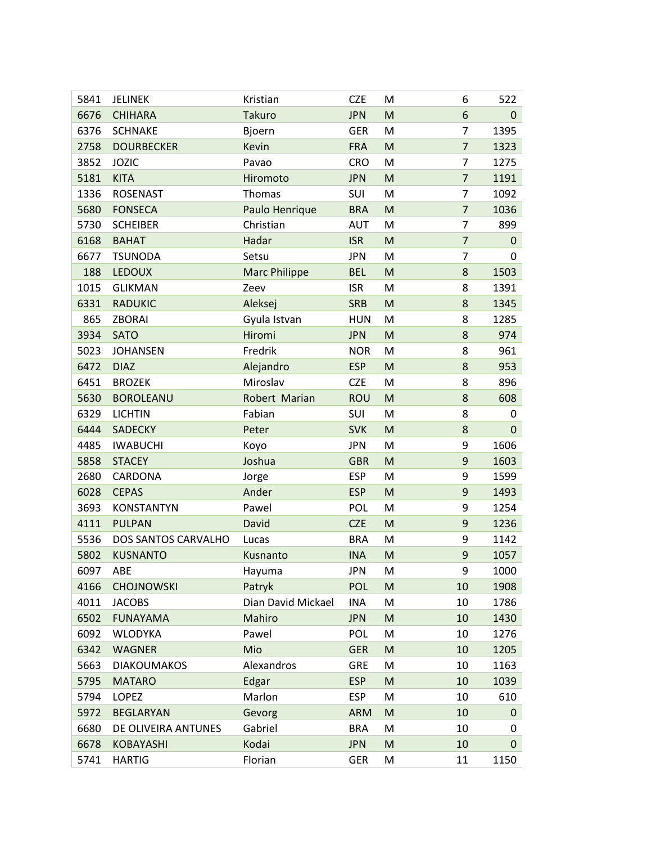| 5841 | <b>JELINEK</b>      | Kristian             | <b>CZE</b> | M                                                                                                          | 6              | 522       |
|------|---------------------|----------------------|------------|------------------------------------------------------------------------------------------------------------|----------------|-----------|
| 6676 | <b>CHIHARA</b>      | <b>Takuro</b>        | <b>JPN</b> | M                                                                                                          | 6              | $\pmb{0}$ |
| 6376 | <b>SCHNAKE</b>      | Bjoern               | <b>GER</b> | M                                                                                                          | $\overline{7}$ | 1395      |
| 2758 | <b>DOURBECKER</b>   | <b>Kevin</b>         | <b>FRA</b> | M                                                                                                          | $\overline{7}$ | 1323      |
| 3852 | <b>JOZIC</b>        | Pavao                | <b>CRO</b> | M                                                                                                          | 7              | 1275      |
| 5181 | <b>KITA</b>         | Hiromoto             | <b>JPN</b> | M                                                                                                          | $\overline{7}$ | 1191      |
| 1336 | <b>ROSENAST</b>     | Thomas               | SUI        | M                                                                                                          | 7              | 1092      |
| 5680 | <b>FONSECA</b>      | Paulo Henrique       | <b>BRA</b> | M                                                                                                          | $\overline{7}$ | 1036      |
| 5730 | <b>SCHEIBER</b>     | Christian            | <b>AUT</b> | M                                                                                                          | $\overline{7}$ | 899       |
| 6168 | <b>BAHAT</b>        | Hadar                | <b>ISR</b> | M                                                                                                          | $\overline{7}$ | $\pmb{0}$ |
| 6677 | <b>TSUNODA</b>      | Setsu                | <b>JPN</b> | M                                                                                                          | $\overline{7}$ | 0         |
| 188  | <b>LEDOUX</b>       | <b>Marc Philippe</b> | <b>BEL</b> | $\mathsf{M}% _{T}=\mathsf{M}_{T}\!\left( a,b\right) ,\ \mathsf{M}_{T}=\mathsf{M}_{T}\!\left( a,b\right) ,$ | 8              | 1503      |
| 1015 | <b>GLIKMAN</b>      | Zeev                 | <b>ISR</b> | M                                                                                                          | 8              | 1391      |
| 6331 | <b>RADUKIC</b>      | Aleksej              | <b>SRB</b> | M                                                                                                          | 8              | 1345      |
| 865  | ZBORAI              | Gyula Istvan         | <b>HUN</b> | M                                                                                                          | 8              | 1285      |
| 3934 | <b>SATO</b>         | Hiromi               | <b>JPN</b> | M                                                                                                          | 8              | 974       |
| 5023 | <b>JOHANSEN</b>     | Fredrik              | <b>NOR</b> | M                                                                                                          | 8              | 961       |
| 6472 | <b>DIAZ</b>         | Alejandro            | <b>ESP</b> | M                                                                                                          | 8              | 953       |
| 6451 | <b>BROZEK</b>       | Miroslav             | <b>CZE</b> | M                                                                                                          | 8              | 896       |
| 5630 | <b>BOROLEANU</b>    | Robert Marian        | <b>ROU</b> | M                                                                                                          | 8              | 608       |
| 6329 | <b>LICHTIN</b>      | Fabian               | SUI        | M                                                                                                          | 8              | 0         |
| 6444 | SADECKY             | Peter                | <b>SVK</b> | M                                                                                                          | 8              | $\pmb{0}$ |
| 4485 | <b>IWABUCHI</b>     | Koyo                 | <b>JPN</b> | M                                                                                                          | 9              | 1606      |
| 5858 | <b>STACEY</b>       | Joshua               | <b>GBR</b> | $\mathsf{M}% _{T}=\mathsf{M}_{T}\!\left( a,b\right) ,\ \mathsf{M}_{T}=\mathsf{M}_{T}\!\left( a,b\right) ,$ | 9              | 1603      |
| 2680 | CARDONA             | Jorge                | <b>ESP</b> | M                                                                                                          | 9              | 1599      |
| 6028 | <b>CEPAS</b>        | Ander                | <b>ESP</b> | M                                                                                                          | 9              | 1493      |
| 3693 | <b>KONSTANTYN</b>   | Pawel                | <b>POL</b> | M                                                                                                          | 9              | 1254      |
| 4111 | <b>PULPAN</b>       | David                | <b>CZE</b> | M                                                                                                          | 9              | 1236      |
| 5536 | DOS SANTOS CARVALHO | Lucas                | <b>BRA</b> | M                                                                                                          | 9              | 1142      |
| 5802 | <b>KUSNANTO</b>     | Kusnanto             | <b>INA</b> | M                                                                                                          | 9              | 1057      |
| 6097 | ABE                 | Hayuma               | JPN        | M                                                                                                          | 9              | 1000      |
| 4166 | <b>CHOJNOWSKI</b>   | Patryk               | <b>POL</b> | M                                                                                                          | 10             | 1908      |
| 4011 | <b>JACOBS</b>       | Dian David Mickael   | <b>INA</b> | M                                                                                                          | 10             | 1786      |
| 6502 | <b>FUNAYAMA</b>     | Mahiro               | <b>JPN</b> | M                                                                                                          | 10             | 1430      |
| 6092 | <b>WLODYKA</b>      | Pawel                | <b>POL</b> | M                                                                                                          | 10             | 1276      |
| 6342 | <b>WAGNER</b>       | Mio                  | <b>GER</b> | M                                                                                                          | 10             | 1205      |
| 5663 | <b>DIAKOUMAKOS</b>  | Alexandros           | <b>GRE</b> | M                                                                                                          | 10             | 1163      |
| 5795 | <b>MATARO</b>       | Edgar                | <b>ESP</b> | M                                                                                                          | 10             | 1039      |
| 5794 | LOPEZ               | Marlon               | <b>ESP</b> | M                                                                                                          | 10             | 610       |
| 5972 | <b>BEGLARYAN</b>    | Gevorg               | <b>ARM</b> | M                                                                                                          | 10             | 0         |
| 6680 | DE OLIVEIRA ANTUNES | Gabriel              | <b>BRA</b> | M                                                                                                          | 10             | 0         |
| 6678 | <b>KOBAYASHI</b>    | Kodai                | <b>JPN</b> | M                                                                                                          | 10             | 0         |
| 5741 | <b>HARTIG</b>       | Florian              | <b>GER</b> | M                                                                                                          | 11             | 1150      |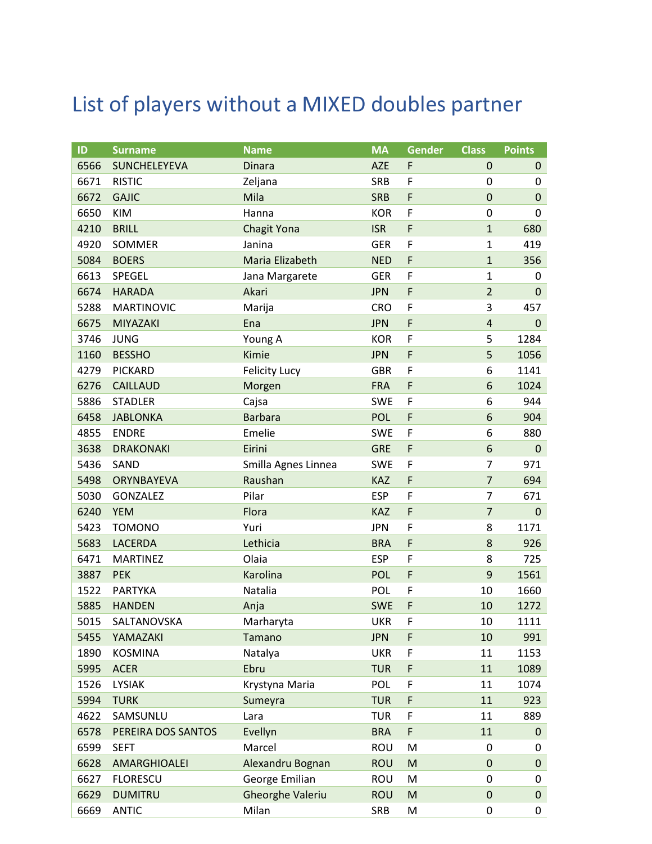## List of players without a MIXED doubles partner

| ID   | <b>Surname</b>      | <b>Name</b>             | <b>MA</b>  | <b>Gender</b> | <b>Class</b>     | <b>Points</b> |
|------|---------------------|-------------------------|------------|---------------|------------------|---------------|
| 6566 | <b>SUNCHELEYEVA</b> | <b>Dinara</b>           | <b>AZE</b> | F             | $\mathbf 0$      | $\pmb{0}$     |
| 6671 | <b>RISTIC</b>       | Zeljana                 | <b>SRB</b> | F             | 0                | 0             |
| 6672 | <b>GAJIC</b>        | Mila                    | <b>SRB</b> | F             | $\mathbf 0$      | $\pmb{0}$     |
| 6650 | KIM                 | Hanna                   | <b>KOR</b> | F             | $\mathbf 0$      | 0             |
| 4210 | <b>BRILL</b>        | <b>Chagit Yona</b>      | <b>ISR</b> | F             | $\mathbf{1}$     | 680           |
| 4920 | SOMMER              | Janina                  | <b>GER</b> | F             | 1                | 419           |
| 5084 | <b>BOERS</b>        | Maria Elizabeth         | <b>NED</b> | F             | $\mathbf{1}$     | 356           |
| 6613 | SPEGEL              | Jana Margarete          | <b>GER</b> | F             | 1                | 0             |
| 6674 | <b>HARADA</b>       | Akari                   | <b>JPN</b> | F             | $\overline{2}$   | $\pmb{0}$     |
| 5288 | <b>MARTINOVIC</b>   | Marija                  | <b>CRO</b> | F             | 3                | 457           |
| 6675 | MIYAZAKI            | Ena                     | <b>JPN</b> | F             | 4                | $\pmb{0}$     |
| 3746 | <b>JUNG</b>         | Young A                 | <b>KOR</b> | F             | 5                | 1284          |
| 1160 | <b>BESSHO</b>       | Kimie                   | <b>JPN</b> | F             | 5                | 1056          |
| 4279 | PICKARD             | <b>Felicity Lucy</b>    | <b>GBR</b> | F             | 6                | 1141          |
| 6276 | <b>CAILLAUD</b>     | Morgen                  | <b>FRA</b> | F             | 6                | 1024          |
| 5886 | <b>STADLER</b>      | Cajsa                   | <b>SWE</b> | F             | 6                | 944           |
| 6458 | <b>JABLONKA</b>     | <b>Barbara</b>          | POL        | F             | 6                | 904           |
| 4855 | <b>ENDRE</b>        | Emelie                  | <b>SWE</b> | F             | 6                | 880           |
| 3638 | <b>DRAKONAKI</b>    | Eirini                  | <b>GRE</b> | F             | 6                | $\pmb{0}$     |
| 5436 | SAND                | Smilla Agnes Linnea     | <b>SWE</b> | F             | 7                | 971           |
| 5498 | ORYNBAYEVA          | Raushan                 | KAZ        | F             | $\overline{7}$   | 694           |
| 5030 | GONZALEZ            | Pilar                   | <b>ESP</b> | F             | 7                | 671           |
| 6240 | <b>YEM</b>          | Flora                   | <b>KAZ</b> | F             | $\overline{7}$   | $\mathbf 0$   |
| 5423 | <b>TOMONO</b>       | Yuri                    | <b>JPN</b> | F             | 8                | 1171          |
| 5683 | <b>LACERDA</b>      | Lethicia                | <b>BRA</b> | F             | 8                | 926           |
| 6471 | <b>MARTINEZ</b>     | Olaia                   | <b>ESP</b> | F             | 8                | 725           |
| 3887 | <b>PEK</b>          | Karolina                | <b>POL</b> | F             | 9                | 1561          |
| 1522 | <b>PARTYKA</b>      | Natalia                 | <b>POL</b> | F             | 10               | 1660          |
| 5885 | <b>HANDEN</b>       | Anja                    | <b>SWE</b> | F             | 10               | 1272          |
| 5015 | SALTANOVSKA         | Marharyta               | <b>UKR</b> | F             | 10               | 1111          |
| 5455 | YAMAZAKI            | Tamano                  | <b>JPN</b> | F             | 10               | 991           |
| 1890 | <b>KOSMINA</b>      | Natalya                 | <b>UKR</b> | F             | 11               | 1153          |
| 5995 | <b>ACER</b>         | Ebru                    | <b>TUR</b> | F             | 11               | 1089          |
| 1526 | <b>LYSIAK</b>       | Krystyna Maria          | POL        | F             | 11               | 1074          |
| 5994 | <b>TURK</b>         | Sumeyra                 | <b>TUR</b> | F             | 11               | 923           |
| 4622 | SAMSUNLU            | Lara                    | <b>TUR</b> | F             | 11               | 889           |
| 6578 | PEREIRA DOS SANTOS  | Evellyn                 | <b>BRA</b> | F             | 11               | $\mathbf 0$   |
| 6599 | <b>SEFT</b>         | Marcel                  | <b>ROU</b> | M             | 0                | 0             |
| 6628 | AMARGHIOALEI        | Alexandru Bognan        | <b>ROU</b> | M             | $\pmb{0}$        | $\pmb{0}$     |
| 6627 | <b>FLORESCU</b>     | George Emilian          | <b>ROU</b> | M             | $\boldsymbol{0}$ | 0             |
| 6629 | <b>DUMITRU</b>      | <b>Gheorghe Valeriu</b> | <b>ROU</b> | M             | $\pmb{0}$        | $\pmb{0}$     |
| 6669 | <b>ANTIC</b>        | Milan                   | SRB        | M             | $\pmb{0}$        | 0             |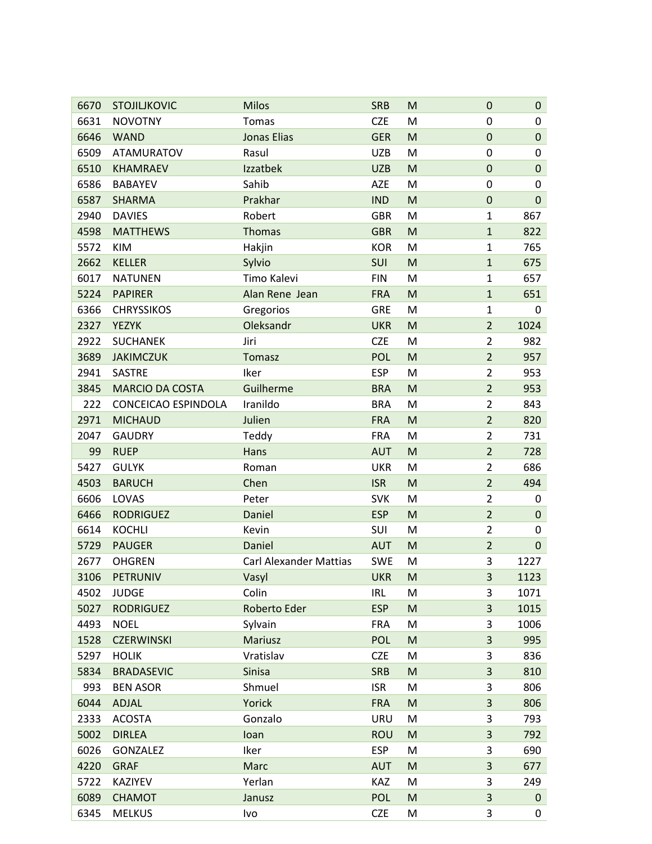| 6670 | <b>STOJILJKOVIC</b>    | <b>Milos</b>                  | <b>SRB</b> | M                                                                                                          | 0              | $\mathbf 0$ |
|------|------------------------|-------------------------------|------------|------------------------------------------------------------------------------------------------------------|----------------|-------------|
| 6631 | <b>NOVOTNY</b>         | Tomas                         | <b>CZE</b> | M                                                                                                          | 0              | 0           |
| 6646 | <b>WAND</b>            | <b>Jonas Elias</b>            | <b>GER</b> | M                                                                                                          | 0              | $\pmb{0}$   |
| 6509 | <b>ATAMURATOV</b>      | Rasul                         | <b>UZB</b> | M                                                                                                          | 0              | 0           |
| 6510 | <b>KHAMRAEV</b>        | Izzatbek                      | <b>UZB</b> | M                                                                                                          | $\pmb{0}$      | 0           |
| 6586 | <b>BABAYEV</b>         | Sahib                         | <b>AZE</b> | M                                                                                                          | $\pmb{0}$      | 0           |
| 6587 | <b>SHARMA</b>          | Prakhar                       | <b>IND</b> | M                                                                                                          | $\pmb{0}$      | $\mathbf 0$ |
| 2940 | <b>DAVIES</b>          | Robert                        | <b>GBR</b> | M                                                                                                          | $\mathbf{1}$   | 867         |
| 4598 | <b>MATTHEWS</b>        | Thomas                        | <b>GBR</b> | M                                                                                                          | $\mathbf{1}$   | 822         |
| 5572 | <b>KIM</b>             | Hakjin                        | <b>KOR</b> | M                                                                                                          | 1              | 765         |
| 2662 | <b>KELLER</b>          | Sylvio                        | SUI        | M                                                                                                          | $\mathbf{1}$   | 675         |
| 6017 | <b>NATUNEN</b>         | Timo Kalevi                   | <b>FIN</b> | M                                                                                                          | 1              | 657         |
| 5224 | <b>PAPIRER</b>         | Alan Rene Jean                | <b>FRA</b> | M                                                                                                          | $\mathbf{1}$   | 651         |
| 6366 | <b>CHRYSSIKOS</b>      | Gregorios                     | <b>GRE</b> | M                                                                                                          | $\mathbf{1}$   | 0           |
| 2327 | <b>YEZYK</b>           | Oleksandr                     | <b>UKR</b> | M                                                                                                          | $\overline{2}$ | 1024        |
| 2922 | <b>SUCHANEK</b>        | Jiri                          | <b>CZE</b> | M                                                                                                          | $\overline{2}$ | 982         |
| 3689 | <b>JAKIMCZUK</b>       | Tomasz                        | <b>POL</b> | M                                                                                                          | $\overline{2}$ | 957         |
| 2941 | <b>SASTRE</b>          | Iker                          | <b>ESP</b> | M                                                                                                          | $\overline{2}$ | 953         |
| 3845 | <b>MARCIO DA COSTA</b> | Guilherme                     | <b>BRA</b> | M                                                                                                          | $\overline{2}$ | 953         |
| 222  | CONCEICAO ESPINDOLA    | Iranildo                      | <b>BRA</b> | M                                                                                                          | $\overline{2}$ | 843         |
| 2971 | <b>MICHAUD</b>         | Julien                        | <b>FRA</b> | M                                                                                                          | $\overline{2}$ | 820         |
| 2047 | <b>GAUDRY</b>          | Teddy                         | <b>FRA</b> | M                                                                                                          | $\overline{2}$ | 731         |
| 99   | <b>RUEP</b>            | Hans                          | <b>AUT</b> | M                                                                                                          | $\overline{2}$ | 728         |
| 5427 | <b>GULYK</b>           | Roman                         | <b>UKR</b> | M                                                                                                          | $\overline{2}$ | 686         |
| 4503 | <b>BARUCH</b>          | Chen                          | <b>ISR</b> | M                                                                                                          | $\overline{2}$ | 494         |
| 6606 | LOVAS                  | Peter                         | <b>SVK</b> | M                                                                                                          | $\overline{2}$ | 0           |
| 6466 | <b>RODRIGUEZ</b>       | Daniel                        | <b>ESP</b> | M                                                                                                          | $\overline{2}$ | 0           |
| 6614 | <b>KOCHLI</b>          | Kevin                         | SUI        | M                                                                                                          | $\overline{2}$ | 0           |
| 5729 | <b>PAUGER</b>          | Daniel                        | <b>AUT</b> | M                                                                                                          | $\overline{2}$ | 0           |
| 2677 | <b>OHGREN</b>          | <b>Carl Alexander Mattias</b> | <b>SWE</b> | M                                                                                                          | 3              | 1227        |
| 3106 | <b>PETRUNIV</b>        | Vasyl                         | <b>UKR</b> | $\mathsf{M}% _{T}=\mathsf{M}_{T}\!\left( a,b\right) ,\ \mathsf{M}_{T}=\mathsf{M}_{T}\!\left( a,b\right) ,$ | 3              | 1123        |
| 4502 | <b>JUDGE</b>           | Colin                         | <b>IRL</b> | M                                                                                                          | 3              | 1071        |
| 5027 | <b>RODRIGUEZ</b>       | Roberto Eder                  | <b>ESP</b> | M                                                                                                          | 3              | 1015        |
| 4493 | <b>NOEL</b>            | Sylvain                       | <b>FRA</b> | M                                                                                                          | 3              | 1006        |
| 1528 | <b>CZERWINSKI</b>      | Mariusz                       | <b>POL</b> | M                                                                                                          | 3              | 995         |
| 5297 | <b>HOLIK</b>           | Vratislav                     | <b>CZE</b> | M                                                                                                          | 3              | 836         |
| 5834 | <b>BRADASEVIC</b>      | Sinisa                        | <b>SRB</b> | M                                                                                                          | 3              | 810         |
| 993  | <b>BEN ASOR</b>        | Shmuel                        | <b>ISR</b> | M                                                                                                          | 3              | 806         |
| 6044 | ADJAL                  | Yorick                        | <b>FRA</b> | M                                                                                                          | 3              | 806         |
| 2333 | <b>ACOSTA</b>          | Gonzalo                       | URU        | M                                                                                                          | 3              | 793         |
| 5002 | <b>DIRLEA</b>          | Ioan                          | <b>ROU</b> | ${\sf M}$                                                                                                  | 3              | 792         |
| 6026 | GONZALEZ               | Iker                          | <b>ESP</b> | M                                                                                                          | 3              | 690         |
| 4220 | <b>GRAF</b>            | Marc                          | <b>AUT</b> | M                                                                                                          | 3              | 677         |
| 5722 | KAZIYEV                | Yerlan                        | KAZ        | M                                                                                                          | 3              | 249         |
| 6089 |                        |                               |            |                                                                                                            |                |             |
|      | <b>CHAMOT</b>          | Janusz                        | <b>POL</b> | M                                                                                                          | 3              | $\pmb{0}$   |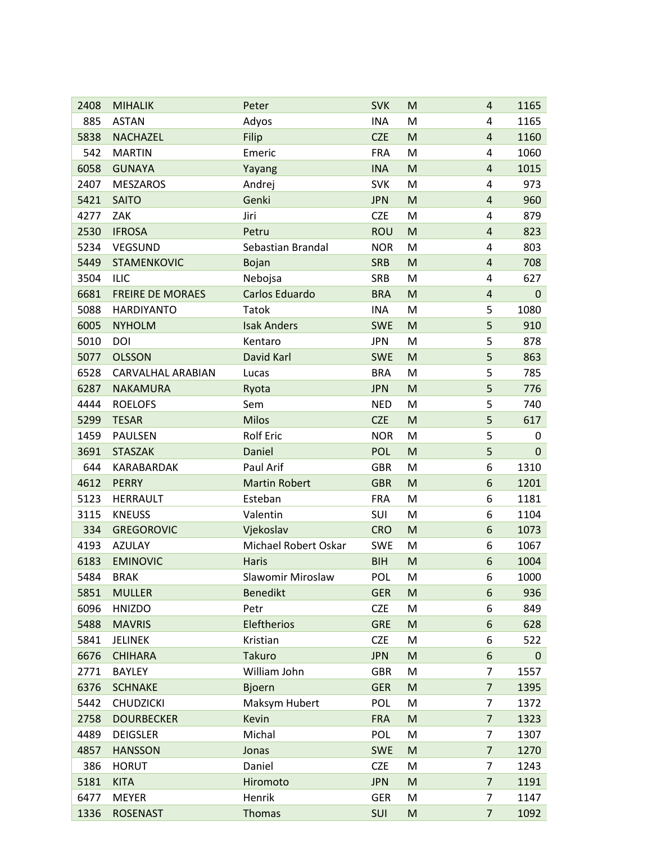| 2408 | <b>MIHALIK</b>          | Peter                | <b>SVK</b> | M | 4                       | 1165        |
|------|-------------------------|----------------------|------------|---|-------------------------|-------------|
| 885  | <b>ASTAN</b>            | Adyos                | <b>INA</b> | M | 4                       | 1165        |
| 5838 | <b>NACHAZEL</b>         | Filip                | <b>CZE</b> | M | $\overline{\mathbf{r}}$ | 1160        |
| 542  | <b>MARTIN</b>           | Emeric               | <b>FRA</b> | M | 4                       | 1060        |
| 6058 | <b>GUNAYA</b>           | Yayang               | <b>INA</b> | M | $\overline{4}$          | 1015        |
| 2407 | <b>MESZAROS</b>         | Andrej               | <b>SVK</b> | M | 4                       | 973         |
| 5421 | <b>SAITO</b>            | Genki                | <b>JPN</b> | M | $\overline{4}$          | 960         |
| 4277 | ZAK                     | Jiri                 | <b>CZE</b> | M | 4                       | 879         |
| 2530 | <b>IFROSA</b>           | Petru                | <b>ROU</b> | M | 4                       | 823         |
| 5234 | <b>VEGSUND</b>          | Sebastian Brandal    | <b>NOR</b> | M | 4                       | 803         |
| 5449 | <b>STAMENKOVIC</b>      | Bojan                | <b>SRB</b> | M | 4                       | 708         |
| 3504 | <b>ILIC</b>             | Nebojsa              | <b>SRB</b> | M | 4                       | 627         |
| 6681 | <b>FREIRE DE MORAES</b> | Carlos Eduardo       | <b>BRA</b> | M | $\overline{4}$          | $\mathbf 0$ |
| 5088 | <b>HARDIYANTO</b>       | <b>Tatok</b>         | <b>INA</b> | M | 5                       | 1080        |
| 6005 | <b>NYHOLM</b>           | <b>Isak Anders</b>   | <b>SWE</b> | M | 5                       | 910         |
| 5010 | DOI                     | Kentaro              | <b>JPN</b> | M | 5                       | 878         |
| 5077 | <b>OLSSON</b>           | David Karl           | <b>SWE</b> | M | 5                       | 863         |
| 6528 | CARVALHAL ARABIAN       | Lucas                | <b>BRA</b> | M | 5                       | 785         |
| 6287 | <b>NAKAMURA</b>         | Ryota                | <b>JPN</b> | M | 5                       | 776         |
| 4444 | <b>ROELOFS</b>          | Sem                  | <b>NED</b> | M | 5                       | 740         |
| 5299 | <b>TESAR</b>            | <b>Milos</b>         | <b>CZE</b> | M | 5                       | 617         |
| 1459 | <b>PAULSEN</b>          | <b>Rolf Eric</b>     | <b>NOR</b> | M | 5                       | 0           |
| 3691 | <b>STASZAK</b>          | Daniel               | <b>POL</b> | M | 5                       | 0           |
| 644  | KARABARDAK              | Paul Arif            | <b>GBR</b> | M | 6                       | 1310        |
| 4612 | <b>PERRY</b>            | <b>Martin Robert</b> | <b>GBR</b> | M | 6                       | 1201        |
| 5123 | <b>HERRAULT</b>         | Esteban              | <b>FRA</b> | M | 6                       | 1181        |
| 3115 | <b>KNEUSS</b>           | Valentin             | SUI        | M | 6                       | 1104        |
| 334  | <b>GREGOROVIC</b>       | Vjekoslav            | <b>CRO</b> | M | 6                       | 1073        |
| 4193 | <b>AZULAY</b>           | Michael Robert Oskar | <b>SWE</b> | M | 6                       | 1067        |
| 6183 | <b>EMINOVIC</b>         | <b>Haris</b>         | <b>BIH</b> | M | 6                       | 1004        |
| 5484 | <b>BRAK</b>             | Slawomir Miroslaw    | POL        | M | 6                       | 1000        |
| 5851 | <b>MULLER</b>           | <b>Benedikt</b>      | <b>GER</b> | M | 6                       | 936         |
| 6096 | <b>HNIZDO</b>           | Petr                 | <b>CZE</b> | M | 6                       | 849         |
| 5488 | <b>MAVRIS</b>           | Eleftherios          | <b>GRE</b> | M | 6                       | 628         |
| 5841 | <b>JELINEK</b>          | Kristian             | <b>CZE</b> | M | 6                       | 522         |
| 6676 | <b>CHIHARA</b>          | <b>Takuro</b>        | <b>JPN</b> | M | 6                       | 0           |
| 2771 | <b>BAYLEY</b>           | William John         | <b>GBR</b> | M | $\overline{7}$          | 1557        |
| 6376 | <b>SCHNAKE</b>          | <b>Bjoern</b>        | <b>GER</b> | M | $\overline{7}$          | 1395        |
| 5442 | <b>CHUDZICKI</b>        | Maksym Hubert        | POL        | M | $\overline{7}$          | 1372        |
| 2758 | <b>DOURBECKER</b>       | Kevin                | <b>FRA</b> | M | 7                       | 1323        |
| 4489 | <b>DEIGSLER</b>         | Michal               | <b>POL</b> | M | $\overline{7}$          | 1307        |
| 4857 | <b>HANSSON</b>          | Jonas                | <b>SWE</b> | M | $\overline{7}$          | 1270        |
| 386  | <b>HORUT</b>            | Daniel               | <b>CZE</b> | M | 7                       | 1243        |
| 5181 | <b>KITA</b>             | Hiromoto             | <b>JPN</b> | M | $\overline{7}$          | 1191        |
| 6477 | <b>MEYER</b>            | Henrik               | <b>GER</b> | M | 7                       | 1147        |
| 1336 | <b>ROSENAST</b>         | <b>Thomas</b>        | SUI        | M | $\overline{7}$          | 1092        |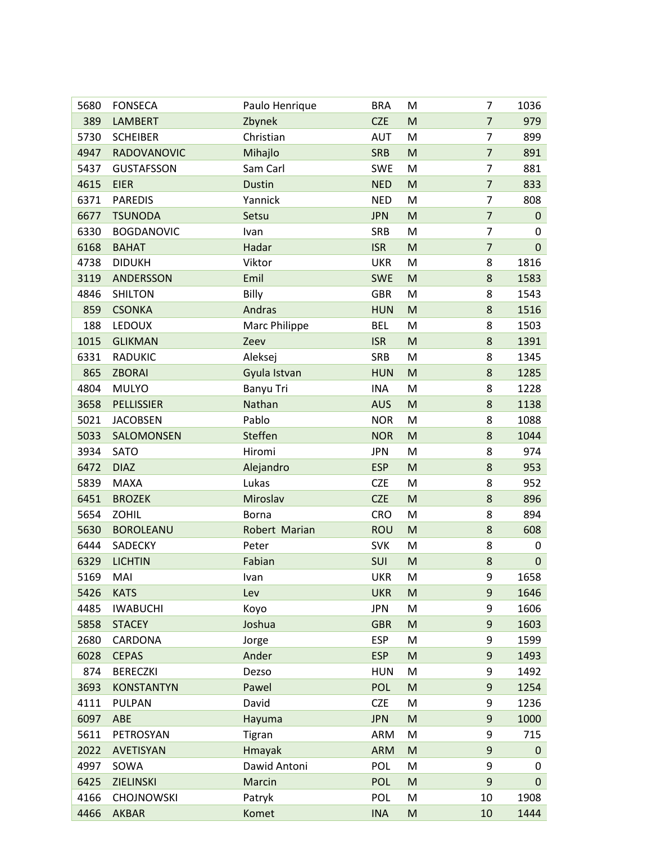| 5680 | <b>FONSECA</b>    | Paulo Henrique | <b>BRA</b> | M                                                                                                          | $\overline{7}$   | 1036      |
|------|-------------------|----------------|------------|------------------------------------------------------------------------------------------------------------|------------------|-----------|
| 389  | <b>LAMBERT</b>    | Zbynek         | <b>CZE</b> | M                                                                                                          | $\overline{7}$   | 979       |
| 5730 | <b>SCHEIBER</b>   | Christian      | <b>AUT</b> | M                                                                                                          | $\overline{7}$   | 899       |
| 4947 | RADOVANOVIC       | Mihajlo        | <b>SRB</b> | M                                                                                                          | $\overline{7}$   | 891       |
| 5437 | <b>GUSTAFSSON</b> | Sam Carl       | <b>SWE</b> | M                                                                                                          | $\overline{7}$   | 881       |
| 4615 | <b>EIER</b>       | <b>Dustin</b>  | <b>NED</b> | M                                                                                                          | $\overline{7}$   | 833       |
| 6371 | <b>PAREDIS</b>    | Yannick        | <b>NED</b> | M                                                                                                          | $\overline{7}$   | 808       |
| 6677 | <b>TSUNODA</b>    | Setsu          | <b>JPN</b> | M                                                                                                          | $\overline{7}$   | $\pmb{0}$ |
| 6330 | <b>BOGDANOVIC</b> | Ivan           | <b>SRB</b> | M                                                                                                          | 7                | 0         |
| 6168 | <b>BAHAT</b>      | Hadar          | <b>ISR</b> | M                                                                                                          | $\overline{7}$   | 0         |
| 4738 | <b>DIDUKH</b>     | Viktor         | <b>UKR</b> | M                                                                                                          | 8                | 1816      |
| 3119 | ANDERSSON         | Emil           | <b>SWE</b> | M                                                                                                          | 8                | 1583      |
| 4846 | <b>SHILTON</b>    | Billy          | <b>GBR</b> | M                                                                                                          | 8                | 1543      |
| 859  | <b>CSONKA</b>     | Andras         | <b>HUN</b> | M                                                                                                          | 8                | 1516      |
| 188  | <b>LEDOUX</b>     | Marc Philippe  | <b>BEL</b> | M                                                                                                          | 8                | 1503      |
| 1015 | <b>GLIKMAN</b>    | Zeev           | <b>ISR</b> | M                                                                                                          | 8                | 1391      |
| 6331 | RADUKIC           | Aleksej        | <b>SRB</b> | M                                                                                                          | 8                | 1345      |
| 865  | <b>ZBORAI</b>     | Gyula Istvan   | <b>HUN</b> | M                                                                                                          | $\bf 8$          | 1285      |
| 4804 | <b>MULYO</b>      | Banyu Tri      | <b>INA</b> | M                                                                                                          | 8                | 1228      |
| 3658 | <b>PELLISSIER</b> | Nathan         | <b>AUS</b> | M                                                                                                          | 8                | 1138      |
| 5021 | <b>JACOBSEN</b>   | Pablo          | <b>NOR</b> | M                                                                                                          | 8                | 1088      |
| 5033 | SALOMONSEN        | Steffen        | <b>NOR</b> | M                                                                                                          | 8                | 1044      |
| 3934 | <b>SATO</b>       | Hiromi         | <b>JPN</b> | M                                                                                                          | 8                | 974       |
| 6472 | <b>DIAZ</b>       | Alejandro      | <b>ESP</b> | M                                                                                                          | 8                | 953       |
| 5839 | <b>MAXA</b>       | Lukas          | <b>CZE</b> | M                                                                                                          | 8                | 952       |
| 6451 | <b>BROZEK</b>     | Miroslav       | <b>CZE</b> | M                                                                                                          | 8                | 896       |
| 5654 | <b>ZOHIL</b>      | <b>Borna</b>   | <b>CRO</b> | M                                                                                                          | 8                | 894       |
| 5630 | <b>BOROLEANU</b>  | Robert Marian  | <b>ROU</b> | $\mathsf{M}% _{T}=\mathsf{M}_{T}\!\left( a,b\right) ,\ \mathsf{M}_{T}=\mathsf{M}_{T}\!\left( a,b\right) ,$ | 8                | 608       |
| 6444 | SADECKY           | Peter          | <b>SVK</b> | M                                                                                                          | 8                | 0         |
| 6329 | <b>LICHTIN</b>    | Fabian         | SUI        | M                                                                                                          | $\bf 8$          | 0         |
| 5169 | MAI               | Ivan           | <b>UKR</b> | M                                                                                                          | 9                | 1658      |
| 5426 | <b>KATS</b>       | Lev            | <b>UKR</b> | M                                                                                                          | 9                | 1646      |
| 4485 | <b>IWABUCHI</b>   | Koyo           | <b>JPN</b> | M                                                                                                          | 9                | 1606      |
| 5858 | <b>STACEY</b>     | Joshua         | <b>GBR</b> | M                                                                                                          | 9                | 1603      |
| 2680 | CARDONA           | Jorge          | <b>ESP</b> | M                                                                                                          | 9                | 1599      |
| 6028 | <b>CEPAS</b>      | Ander          | <b>ESP</b> | M                                                                                                          | 9                | 1493      |
| 874  | <b>BERECZKI</b>   | Dezso          | <b>HUN</b> | M                                                                                                          | 9                | 1492      |
| 3693 | <b>KONSTANTYN</b> | Pawel          | <b>POL</b> | M                                                                                                          | 9                | 1254      |
| 4111 | PULPAN            | David          | <b>CZE</b> | M                                                                                                          | 9                | 1236      |
| 6097 | ABE               | Hayuma         | <b>JPN</b> | M                                                                                                          | 9                | 1000      |
| 5611 | PETROSYAN         | Tigran         | <b>ARM</b> | M                                                                                                          | 9                | 715       |
| 2022 | AVETISYAN         | Hmayak         | <b>ARM</b> | M                                                                                                          | 9                | 0         |
| 4997 | SOWA              | Dawid Antoni   | <b>POL</b> | M                                                                                                          | 9                | 0         |
| 6425 | ZIELINSKI         | Marcin         | <b>POL</b> | M                                                                                                          | $\boldsymbol{9}$ | $\pmb{0}$ |
| 4166 | <b>CHOJNOWSKI</b> | Patryk         | <b>POL</b> | M                                                                                                          | 10               | 1908      |
| 4466 | <b>AKBAR</b>      | Komet          | <b>INA</b> | M                                                                                                          | 10               | 1444      |